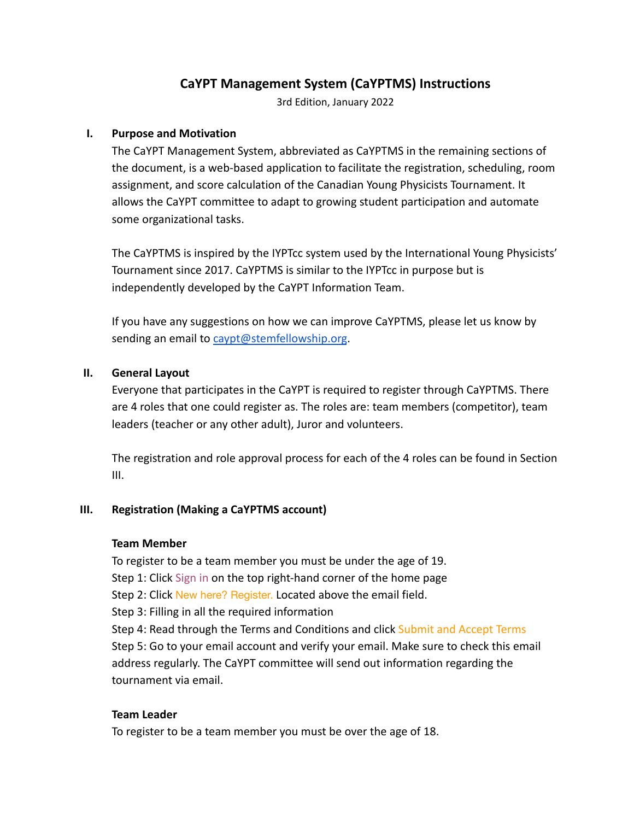# **CaYPT Management System (CaYPTMS) Instructions**

3rd Edition, January 2022

## **I. Purpose and Motivation**

The CaYPT Management System, abbreviated as CaYPTMS in the remaining sections of the document, is a web-based application to facilitate the registration, scheduling, room assignment, and score calculation of the Canadian Young Physicists Tournament. It allows the CaYPT committee to adapt to growing student participation and automate some organizational tasks.

The CaYPTMS is inspired by the IYPTcc system used by the International Young Physicists' Tournament since 2017. CaYPTMS is similar to the IYPTcc in purpose but is independently developed by the CaYPT Information Team.

If you have any suggestions on how we can improve CaYPTMS, please let us know by sending an email to [caypt@stemfellowship.org](mailto:caypt@stemfellowship.org).

## **II. General Layout**

Everyone that participates in the CaYPT is required to register through CaYPTMS. There are 4 roles that one could register as. The roles are: team members (competitor), team leaders (teacher or any other adult), Juror and volunteers.

The registration and role approval process for each of the 4 roles can be found in Section III.

### **III. Registration (Making a CaYPTMS account)**

### **Team Member**

To register to be a team member you must be under the age of 19. Step 1: Click Sign in on the top right-hand corner of the home page Step 2: Click New here? Register. Located above the email field. Step 3: Filling in all the required information Step 4: Read through the Terms and Conditions and click Submit and Accept Terms Step 5: Go to your email account and verify your email. Make sure to check this email address regularly. The CaYPT committee will send out information regarding the tournament via email.

## **Team Leader**

To register to be a team member you must be over the age of 18.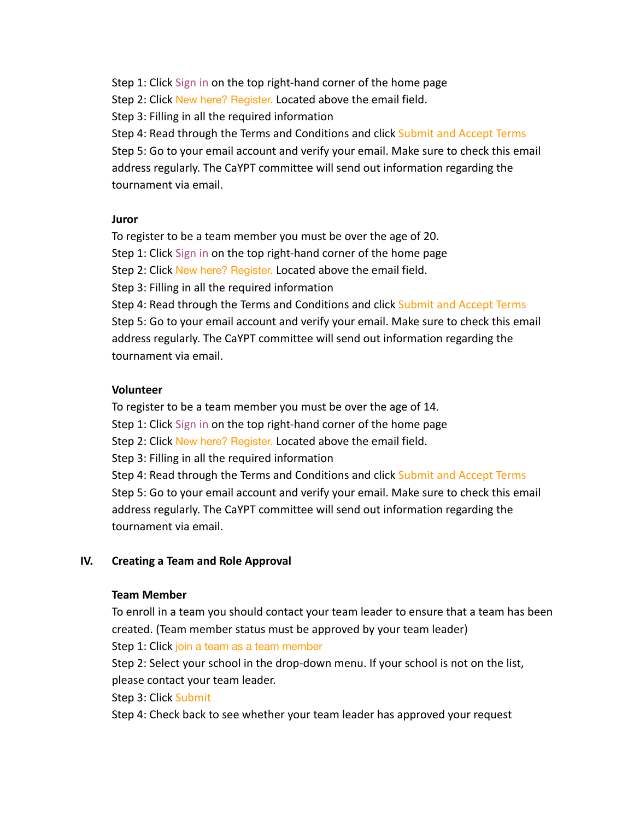Step 1: Click Sign in on the top right-hand corner of the home page

Step 2: Click New here? Register. Located above the email field.

Step 3: Filling in all the required information

Step 4: Read through the Terms and Conditions and click Submit and Accept Terms Step 5: Go to your email account and verify your email. Make sure to check this email address regularly. The CaYPT committee will send out information regarding the tournament via email.

# **Juror**

To register to be a team member you must be over the age of 20.

Step 1: Click Sign in on the top right-hand corner of the home page

Step 2: Click New here? Register. Located above the email field.

Step 3: Filling in all the required information

Step 4: Read through the Terms and Conditions and click Submit and Accept Terms Step 5: Go to your email account and verify your email. Make sure to check this email address regularly. The CaYPT committee will send out information regarding the tournament via email.

# **Volunteer**

To register to be a team member you must be over the age of 14.

Step 1: Click Sign in on the top right-hand corner of the home page

Step 2: Click New here? Register. Located above the email field.

Step 3: Filling in all the required information

Step 4: Read through the Terms and Conditions and click Submit and Accept Terms Step 5: Go to your email account and verify your email. Make sure to check this email address regularly. The CaYPT committee will send out information regarding the tournament via email.

# **IV. Creating a Team and Role Approval**

# **Team Member**

To enroll in a team you should contact your team leader to ensure that a team has been created. (Team member status must be approved by your team leader)

Step 1: Click join a team as a team member

Step 2: Select your school in the drop-down menu. If your school is not on the list, please contact your team leader.

Step 3: Click Submit

Step 4: Check back to see whether your team leader has approved your request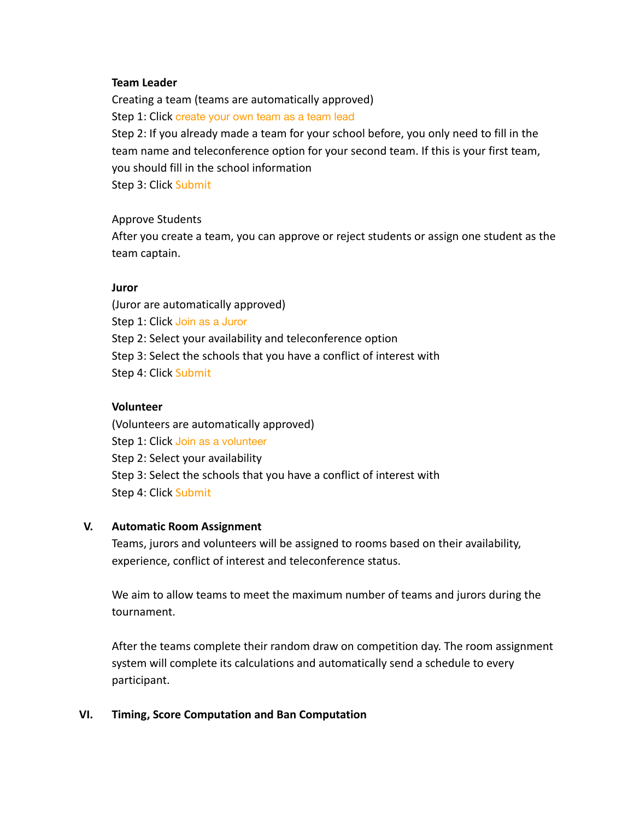#### **Team Leader**

Creating a team (teams are automatically approved) Step 1: Click create your own team as a team lead Step 2: If you already made a team for your school before, you only need to fill in the team name and teleconference option for your second team. If this is your first team, you should fill in the school information Step 3: Click Submit

#### Approve Students

After you create a team, you can approve or reject students or assign one student as the team captain.

#### **Juror**

(Juror are automatically approved) Step 1: Click Join as a Juror Step 2: Select your availability and teleconference option Step 3: Select the schools that you have a conflict of interest with Step 4: Click Submit

#### **Volunteer**

(Volunteers are automatically approved) Step 1: Click Join as a volunteer Step 2: Select your availability Step 3: Select the schools that you have a conflict of interest with Step 4: Click Submit

### **V. Automatic Room Assignment**

Teams, jurors and volunteers will be assigned to rooms based on their availability, experience, conflict of interest and teleconference status.

We aim to allow teams to meet the maximum number of teams and jurors during the tournament.

After the teams complete their random draw on competition day. The room assignment system will complete its calculations and automatically send a schedule to every participant.

### **VI. Timing, Score Computation and Ban Computation**